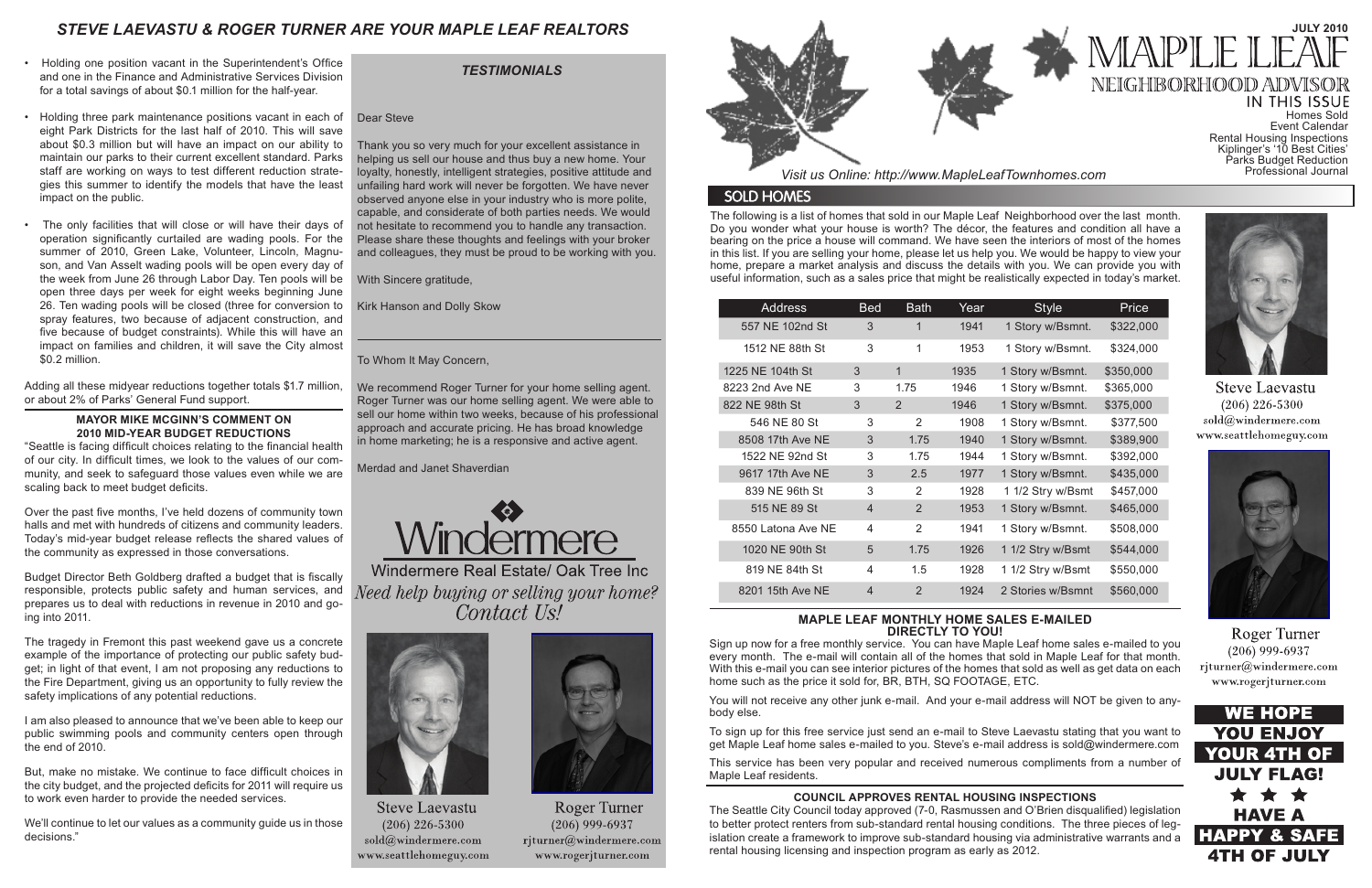The following is a list of homes that sold in our Maple Leaf Neighborhood over the last month. Do you wonder what your house is worth? The décor, the features and condition all have a bearing on the price a house will command. We have seen the interiors of most of the homes in this list. If you are selling your home, please let us help you. We would be happy to view your home, prepare a market analysis and discuss the details with you. We can provide you with useful information, such as a sales price that might be realistically expected in today's market.

*Visit us Online: http://www.MapleLeafTownhomes.com*

### **SOLD HOMES**

# *STEVE LAEVASTU & ROGER TURNER ARE YOUR MAPLE LEAF REALTORS*

#### **MAPLE LEAF MONTHLY HOME SALES E-MAILED DIRECTLY TO YOU!**

Sign up now for a free monthly service. You can have Maple Leaf home sales e-mailed to you every month. The e-mail will contain all of the homes that sold in Maple Leaf for that month. With this e-mail you can see interior pictures of the homes that sold as well as get data on each home such as the price it sold for, BR, BTH, SQ FOOTAGE, ETC.

You will not receive any other junk e-mail. And your e-mail address will NOT be given to anybody else.

To sign up for this free service just send an e-mail to Steve Laevastu stating that you want to get Maple Leaf home sales e-mailed to you. Steve's e-mail address is sold@windermere.com

This service has been very popular and received numerous compliments from a number of Maple Leaf residents.

### *TESTIMONIALS*

| <b>Address</b>     | Bed            | <b>Bath</b>    | Year | <b>Style</b>      | Price     |
|--------------------|----------------|----------------|------|-------------------|-----------|
| 557 NE 102nd St    | 3              | 1              | 1941 | 1 Story w/Bsmnt.  | \$322,000 |
| 1512 NE 88th St    | 3              | 1              | 1953 | 1 Story w/Bsmnt.  | \$324,000 |
| 1225 NE 104th St   | 3              | $\mathbf{1}$   | 1935 | 1 Story w/Bsmnt.  | \$350,000 |
| 8223 2nd Ave NE    | 3              | 1.75           | 1946 | 1 Story w/Bsmnt.  | \$365,000 |
| 822 NE 98th St     | 3              | $\mathcal{P}$  | 1946 | 1 Story w/Bsmnt.  | \$375,000 |
| 546 NE 80 St       | 3              | $\mathcal{P}$  | 1908 | 1 Story w/Bsmnt.  | \$377,500 |
| 8508 17th Ave NE   | 3              | 1.75           | 1940 | 1 Story w/Bsmnt.  | \$389,900 |
| 1522 NE 92nd St    | 3              | 1.75           | 1944 | 1 Story w/Bsmnt.  | \$392,000 |
| 9617 17th Ave NE   | 3              | 2.5            | 1977 | 1 Story w/Bsmnt.  | \$435,000 |
| 839 NE 96th St     | 3              | $\mathcal{P}$  | 1928 | 1 1/2 Stry w/Bsmt | \$457,000 |
| 515 NE 89 St       | 4              | 2              | 1953 | 1 Story w/Bsmnt.  | \$465,000 |
| 8550 Latona Ave NE | 4              | $\overline{2}$ | 1941 | 1 Story w/Bsmnt.  | \$508,000 |
| 1020 NE 90th St    | 5              | 1.75           | 1926 | 1 1/2 Stry w/Bsmt | \$544,000 |
| 819 NE 84th St     | 4              | 1.5            | 1928 | 1 1/2 Stry w/Bsmt | \$550,000 |
| 8201 15th Ave NE   | $\overline{4}$ | $\overline{2}$ | 1924 | 2 Stories w/Bsmnt | \$560,000 |

#### **COUNCIL APPROVES RENTAL HOUSING INSPECTIONS**

The Seattle City Council today approved (7-0, Rasmussen and O'Brien disqualified) legislation to better protect renters from sub-standard rental housing conditions. The three pieces of legislation create a framework to improve sub-standard housing via administrative warrants and a rental housing licensing and inspection program as early as 2012.

# **JULY 2010** NEIGHBORHOOD

IN THIS ISSUE Homes Sold Event Calendar Rental Housing Inspections Kiplinger's '10 Best Cities' Parks Budget Reduction Professional Journal



**Steve Laevastu**  $(206)$  226-5300 sold@windermere.com www.seattlehomeguy.com



Roger Turner  $(206)$  999-6937 rjturner@windermere.com www.rogerjturner.com



- Holding one position vacant in the Superintendent's Office and one in the Finance and Administrative Services Division for a total savings of about \$0.1 million for the half-year.
- Holding three park maintenance positions vacant in each of eight Park Districts for the last half of 2010. This will save about \$0.3 million but will have an impact on our ability to maintain our parks to their current excellent standard. Parks staff are working on ways to test different reduction strategies this summer to identify the models that have the least impact on the public.
- The only facilities that will close or will have their days of operation significantly curtailed are wading pools. For the summer of 2010, Green Lake, Volunteer, Lincoln, Magnuson, and Van Asselt wading pools will be open every day of the week from June 26 through Labor Day. Ten pools will be open three days per week for eight weeks beginning June 26. Ten wading pools will be closed (three for conversion to spray features, two because of adjacent construction, and five because of budget constraints). While this will have an impact on families and children, it will save the City almost \$0.2 million.

Adding all these midyear reductions together totals \$1.7 million, or about 2% of Parks' General Fund support.

#### **MAYOR MIKE MCGINN'S COMMENT ON 2010 MID-YEAR BUDGET REDUCTIONS**

"Seattle is facing difficult choices relating to the financial health of our city. In difficult times, we look to the values of our community, and seek to safeguard those values even while we are scaling back to meet budget deficits.

Over the past five months, I've held dozens of community town halls and met with hundreds of citizens and community leaders. Today's mid-year budget release reflects the shared values of the community as expressed in those conversations.

Budget Director Beth Goldberg drafted a budget that is fiscally responsible, protects public safety and human services, and prepares us to deal with reductions in revenue in 2010 and going into 2011.

The tragedy in Fremont this past weekend gave us a concrete example of the importance of protecting our public safety budget; in light of that event, I am not proposing any reductions to the Fire Department, giving us an opportunity to fully review the safety implications of any potential reductions.

I am also pleased to announce that we've been able to keep our public swimming pools and community centers open through the end of 2010.

But, make no mistake. We continue to face difficult choices in the city budget, and the projected deficits for 2011 will require us to work even harder to provide the needed services.

We'll continue to let our values as a community guide us in those decisions."

#### Dear Steve

Thank you so very much for your excellent assistance in helping us sell our house and thus buy a new home. Your loyalty, honestly, intelligent strategies, positive attitude and unfailing hard work will never be forgotten. We have never observed anyone else in your industry who is more polite, capable, and considerate of both parties needs. We would not hesitate to recommend you to handle any transaction. Please share these thoughts and feelings with your broker and colleagues, they must be proud to be working with you.

With Sincere gratitude,

Kirk Hanson and Dolly Skow

#### To Whom It May Concern,

We recommend Roger Turner for your home selling agent. Roger Turner was our home selling agent. We were able to sell our home within two weeks, because of his professional approach and accurate pricing. He has broad knowledge in home marketing; he is a responsive and active agent.

Merdad and Janet Shaverdian



Windermere Real Estate/ Oak Tree Inc Need help buying or selling your home? Contact Us!



**Steve Laevastu**  $(206)$  226-5300 sold@windermere.com www.seattlehomeguy.com



**Roger Turner**  $(206)$  999-6937 rjturner@windermere.com www.rogerjturner.com